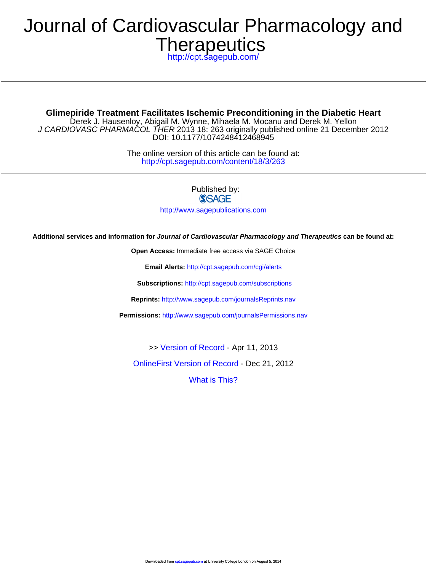# **Therapeutics** Journal of Cardiovascular Pharmacology and

<http://cpt.sagepub.com/>

DOI: 10.1177/1074248412468945 J CARDIOVASC PHARMACOL THER 2013 18: 263 originally published online 21 December 2012 Derek J. Hausenloy, Abigail M. Wynne, Mihaela M. Mocanu and Derek M. Yellon **Glimepiride Treatment Facilitates Ischemic Preconditioning in the Diabetic Heart**

> <http://cpt.sagepub.com/content/18/3/263> The online version of this article can be found at:

> > Published by: **SSAGE**

<http://www.sagepublications.com>

**Additional services and information for Journal of Cardiovascular Pharmacology and Therapeutics can be found at:**

**Open Access:** Immediate free access via SAGE Choice

**Email Alerts:** <http://cpt.sagepub.com/cgi/alerts>

**Subscriptions:** <http://cpt.sagepub.com/subscriptions>

**Reprints:** <http://www.sagepub.com/journalsReprints.nav>

**Permissions:** <http://www.sagepub.com/journalsPermissions.nav>

>> [Version of Record -](http://cpt.sagepub.com/content/18/3/263.full.pdf) Apr 11, 2013

[OnlineFirst Version of Record -](http://cpt.sagepub.com/content/early/2012/12/21/1074248412468945.full.pdf) Dec 21, 2012

[What is This?](http://online.sagepub.com/site/sphelp/vorhelp.xhtml)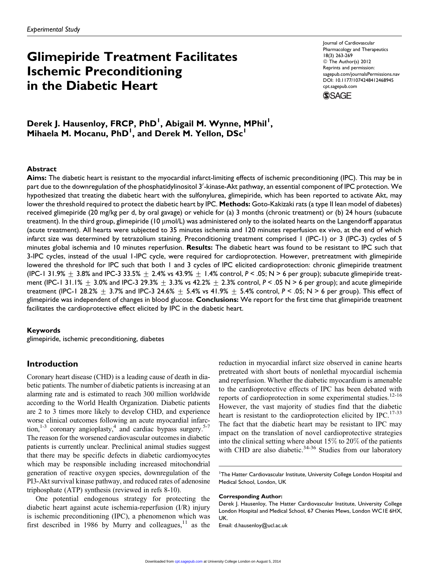# Glimepiride Treatment Facilitates Ischemic Preconditioning in the Diabetic Heart

Journal of Cardiovascular Pharmacology and Therapeutics 18(3) 263-269 © The Author(s) 2012 Reprints and permission: [sagepub.com/journalsPermissions.nav](http://www.sagepub.com/journalsPermissions.nav) DOI: 10.1177/1074248412468945 [cpt.sagepub.com](http://cpt.sagepub.com)

**SSAGE** 

Derek J. Hausenloy, FRCP, PhD<sup>I</sup>, Abigail M. Wynne, MPhil<sup>I</sup>, Mihaela M. Mocanu, PhD<sup>1</sup>, and Derek M. Yellon, DSc<sup>1</sup>

#### Abstract

Aims: The diabetic heart is resistant to the myocardial infarct-limiting effects of ischemic preconditioning (IPC). This may be in part due to the downregulation of the phosphatidylinositol  $3^\prime$ -kinase-Akt pathway, an essential component of IPC protection. We hypothesized that treating the diabetic heart with the sulfonylurea, glimepiride, which has been reported to activate Akt, may lower the threshold required to protect the diabetic heart by IPC. Methods: Goto-Kakizaki rats (a type II lean model of diabetes) received glimepiride (20 mg/kg per d, by oral gavage) or vehicle for (a) 3 months (chronic treatment) or (b) 24 hours (subacute treatment). In the third group, glimepiride  $(10 \mu mol/L)$  was administered only to the isolated hearts on the Langendorff apparatus (acute treatment). All hearts were subjected to 35 minutes ischemia and 120 minutes reperfusion ex vivo, at the end of which infarct size was determined by tetrazolium staining. Preconditioning treatment comprised 1 (IPC-1) or 3 (IPC-3) cycles of 5 minutes global ischemia and 10 minutes reperfusion. Results: The diabetic heart was found to be resistant to IPC such that 3-IPC cycles, instead of the usual 1-IPC cycle, were required for cardioprotection. However, pretreatment with glimepiride lowered the threshold for IPC such that both 1 and 3 cycles of IPC elicited cardioprotection: chronic glimepiride treatment (IPC-1 31.9%  $\pm$  3.8% and IPC-3 33.5%  $\pm$  2.4% vs 43.9%  $\pm$  1.4% control, P < .05; N > 6 per group); subacute glimepiride treatment (IPC-1 31.1%  $\pm$  3.0% and IPC-3 29.3%  $\pm$  3.3% vs 42.2%  $\pm$  2.3% control, P < .05 N > 6 per group); and acute glimepiride treatment (IPC-1 28.2%  $\pm$  3.7% and IPC-3 24.6%  $\pm$  5.4% vs 41.9%  $\pm$  5.4% control, P < .05; N > 6 per group). This effect of glimepiride was independent of changes in blood glucose. Conclusions: We report for the first time that glimepiride treatment facilitates the cardioprotective effect elicited by IPC in the diabetic heart.

#### Keywords

glimepiride, ischemic preconditioning, diabetes

# Introduction

Coronary heart disease (CHD) is a leading cause of death in diabetic patients. The number of diabetic patients is increasing at an alarming rate and is estimated to reach 300 million worldwide according to the World Health Organization. Diabetic patients are 2 to 3 times more likely to develop CHD, and experience worse clinical outcomes following an acute myocardial infarction,<sup>1-3</sup> coronary angioplasty,<sup>4</sup> and cardiac bypass surgery.<sup>5-7</sup> The reason for the worsened cardiovascular outcomes in diabetic patients is currently unclear. Preclinical animal studies suggest that there may be specific defects in diabetic cardiomyocytes which may be responsible including increased mitochondrial generation of reactive oxygen species, downregulation of the PI3-Akt survival kinase pathway, and reduced rates of adenosine triphosphate (ATP) synthesis (reviewed in refs 8-10).

One potential endogenous strategy for protecting the diabetic heart against acute ischemia-reperfusion (I/R) injury is ischemic preconditioning (IPC), a phenomenon which was first described in 1986 by Murry and colleagues, $11$  as the reduction in myocardial infarct size observed in canine hearts pretreated with short bouts of nonlethal myocardial ischemia and reperfusion. Whether the diabetic myocardium is amenable to the cardioprotective effects of IPC has been debated with reports of cardioprotection in some experimental studies.<sup>12-16</sup> However, the vast majority of studies find that the diabetic heart is resistant to the cardioprotection elicited by IPC.<sup>17-33</sup> The fact that the diabetic heart may be resistant to IPC may impact on the translation of novel cardioprotective strategies into the clinical setting where about 15% to 20% of the patients with CHD are also diabetic. $34-36$  Studies from our laboratory

<sup>1</sup>The Hatter Cardiovascular Institute, University College London Hospital and Medical School, London, UK

#### Corresponding Author:

Email: d.hausenloy@ucl.ac.uk

Derek J. Hausenloy, The Hatter Cardiovascular Institute, University College London Hospital and Medical School, 67 Chenies Mews, London WC1E 6HX, UK.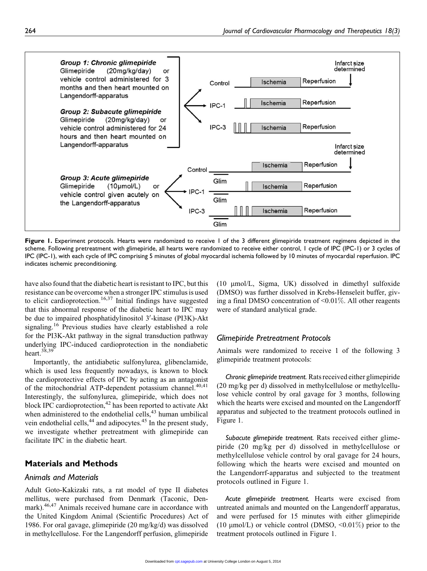

Figure 1. Experiment protocols. Hearts were randomized to receive 1 of the 3 different glimepiride treatment regimens depicted in the scheme. Following pretreatment with glimepiride, all hearts were randomized to receive either control, 1 cycle of IPC (IPC-1) or 3 cycles of IPC (IPC-1), with each cycle of IPC comprising 5 minutes of global myocardial ischemia followed by 10 minutes of myocardial reperfusion. IPC indicates ischemic preconditioning.

have also found that the diabetic heart is resistant to IPC, but this resistance can be overcome when a stronger IPC stimulus is used to elicit cardioprotection.<sup>16,37</sup> Initial findings have suggested that this abnormal response of the diabetic heart to IPC may be due to impaired phosphatidylinositol 3'-kinase (PI3K)-Akt signaling.<sup>16</sup> Previous studies have clearly established a role for the PI3K-Akt pathway in the signal transduction pathway underlying IPC-induced cardioprotection in the nondiabetic heart. $38,39$ 

Importantly, the antidiabetic sulfonylurea, glibenclamide, which is used less frequently nowadays, is known to block the cardioprotective effects of IPC by acting as an antagonist of the mitochondrial ATP-dependent potassium channel.<sup>40,41</sup> Interestingly, the sulfonylurea, glimepiride, which does not block IPC cardioprotection, $42$  has been reported to activate Akt when administered to the endothelial cells,<sup>43</sup> human umbilical vein endothelial cells,<sup>44</sup> and adipocytes.<sup>45</sup> In the present study, we investigate whether pretreatment with glimepiride can facilitate IPC in the diabetic heart.

# Materials and Methods

# Animals and Materials

Adult Goto-Kakizaki rats, a rat model of type II diabetes mellitus, were purchased from Denmark (Taconic, Denmark).<sup>46,47</sup> Animals received humane care in accordance with the United Kingdom Animal (Scientific Procedures) Act of 1986. For oral gavage, glimepiride (20 mg/kg/d) was dissolved in methylcellulose. For the Langendorff perfusion, glimepiride

(10 mmol/L, Sigma, UK) dissolved in dimethyl sulfoxide (DMSO) was further dissolved in Krebs-Henseleit buffer, giving a final DMSO concentration of <0.01%. All other reagents were of standard analytical grade.

# Glimepiride Pretreatment Protocols

Animals were randomized to receive 1 of the following 3 glimepiride treatment protocols:

Chronic glimepiride treatment. Rats received either glimepiride (20 mg/kg per d) dissolved in methylcellulose or methylcellulose vehicle control by oral gavage for 3 months, following which the hearts were excised and mounted on the Langendorff apparatus and subjected to the treatment protocols outlined in Figure 1.

Subacute glimepiride treatment. Rats received either glimepiride (20 mg/kg per d) dissolved in methylcellulose or methylcellulose vehicle control by oral gavage for 24 hours, following which the hearts were excised and mounted on the Langendorrf-apparatus and subjected to the treatment protocols outlined in Figure 1.

Acute glimepiride treatment. Hearts were excised from untreated animals and mounted on the Langendorff apparatus, and were perfused for 15 minutes with either glimepiride (10  $\mu$ mol/L) or vehicle control (DMSO, <0.01%) prior to the treatment protocols outlined in Figure 1.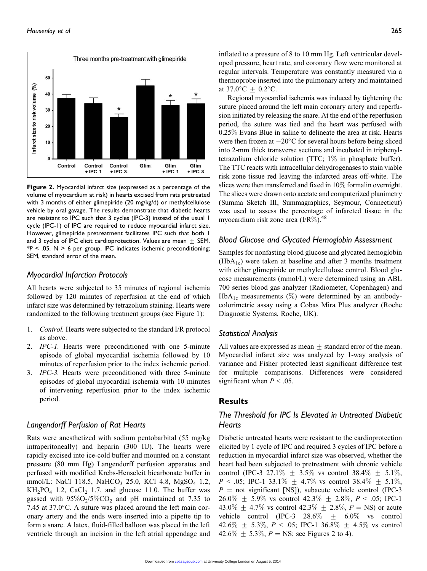

Figure 2. Myocardial infarct size (expressed as a percentage of the volume of myocardium at risk) in hearts excised from rats pretreated with 3 months of either glimepiride (20 mg/kg/d) or methylcellulose vehicle by oral gavage. The results demonstrate that diabetic hearts are resistant to IPC such that 3 cycles (IPC-3) instead of the usual 1 cycle (IPC-1) of IPC are required to reduce myocardial infarct size. However, glimepiride pretreatment facilitates IPC such that both 1 and 3 cycles of IPC elicit cardioprotection. Values are mean  $\pm$  SEM.  $*P < .05$ . N > 6 per group. IPC indicates ischemic preconditioning; SEM, standard error of the mean.

### Myocardial Infarction Protocols

All hearts were subjected to 35 minutes of regional ischemia followed by 120 minutes of reperfusion at the end of which infarct size was determined by tetrazolium staining. Hearts were randomized to the following treatment groups (see Figure 1):

- 1. Control. Hearts were subjected to the standard I/R protocol as above.
- 2. IPC-1. Hearts were preconditioned with one 5-minute episode of global myocardial ischemia followed by 10 minutes of reperfusion prior to the index ischemic period.
- 3. IPC-3. Hearts were preconditioned with three 5-minute episodes of global myocardial ischemia with 10 minutes of intervening reperfusion prior to the index ischemic period.

# Langendorff Perfusion of Rat Hearts

Rats were anesthetized with sodium pentobarbital (55 mg/kg intraperitoneally) and heparin (300 IU). The hearts were rapidly excised into ice-cold buffer and mounted on a constant pressure (80 mm Hg) Langendorff perfusion apparatus and perfused with modified Krebs-Henseleit bicarbonate buffer in mmol/L: NaCl 118.5, NaHCO<sub>3</sub> 25.0, KCl 4.8, MgSO<sub>4</sub> 1.2,  $KH_2PO_4$  1.2, CaCl<sub>2</sub> 1.7, and glucose 11.0. The buffer was gassed with  $95\%O_2/5\%CO_2$  and pH maintained at 7.35 to 7.45 at  $37.0^{\circ}$ C. A suture was placed around the left main coronary artery and the ends were inserted into a pipette tip to form a snare. A latex, fluid-filled balloon was placed in the left ventricle through an incision in the left atrial appendage and

inflated to a pressure of 8 to 10 mm Hg. Left ventricular developed pressure, heart rate, and coronary flow were monitored at regular intervals. Temperature was constantly measured via a thermoprobe inserted into the pulmonary artery and maintained at 37.0 $^{\circ}$ C  $\pm$  0.2 $^{\circ}$ C.

Regional myocardial ischemia was induced by tightening the suture placed around the left main coronary artery and reperfusion initiated by releasing the snare. At the end of the reperfusion period, the suture was tied and the heart was perfused with 0.25% Evans Blue in saline to delineate the area at risk. Hearts were then frozen at  $-20^{\circ}$ C for several hours before being sliced into 2-mm thick transverse sections and incubated in triphenyltetrazolium chloride solution (TTC; 1% in phosphate buffer). The TTC reacts with intracellular dehydrogenases to stain viable risk zone tissue red leaving the infarcted areas off-white. The slices were then transferred and fixed in 10% formalin overnight. The slices were drawn onto acetate and computerized planimetry (Summa Sketch III, Summagraphics, Seymour, Connecticut) was used to assess the percentage of infarcted tissue in the myocardium risk zone area  $(I/R\%)$ .<sup>48</sup>

#### Blood Glucose and Glycated Hemoglobin Assessment

Samples for nonfasting blood glucose and glycated hemoglobin  $(HbA_{1c})$  were taken at baseline and after 3 months treatment with either glimepiride or methylcellulose control. Blood glucose measurements (mmol/L) were determined using an ABL 700 series blood gas analyzer (Radiometer, Copenhagen) and  $HbA_{1c}$  measurements (%) were determined by an antibodycolorimetric assay using a Cobas Mira Plus analyzer (Roche Diagnostic Systems, Roche, UK).

#### Statistical Analysis

All values are expressed as mean  $\pm$  standard error of the mean. Myocardial infarct size was analyzed by 1-way analysis of variance and Fisher protected least significant difference test for multiple comparisons. Differences were considered significant when  $P < .05$ .

# Results

# The Threshold for IPC Is Elevated in Untreated Diabetic **Hearts**

Diabetic untreated hearts were resistant to the cardioprotection elicited by 1 cycle of IPC and required 3 cycles of IPC before a reduction in myocardial infarct size was observed, whether the heart had been subjected to pretreatment with chronic vehicle control (IPC-3 27.1\%  $\pm$  3.5\% vs control 38.4\%  $\pm$  5.1\%,  $P < .05$ ; IPC-1 33.1%  $\pm$  4.7% vs control 38.4%  $\pm$  5.1%,  $P =$  not significant [NS]), subacute vehicle control (IPC-3 26.0%  $\pm$  5.9% vs control 42.3%  $\pm$  2.8%, P < .05; IPC-1 43.0%  $\pm$  4.7% vs control 42.3%  $\pm$  2.8%,  $P = NS$ ) or acute vehicle control (IPC-3 28.6%  $\pm$  6.0% vs control 42.6%  $\pm$  5.3%, P < .05; IPC-1 36.8%  $\pm$  4.5% vs control 42.6%  $\pm$  5.3%,  $P = NS$ ; see Figures 2 to 4).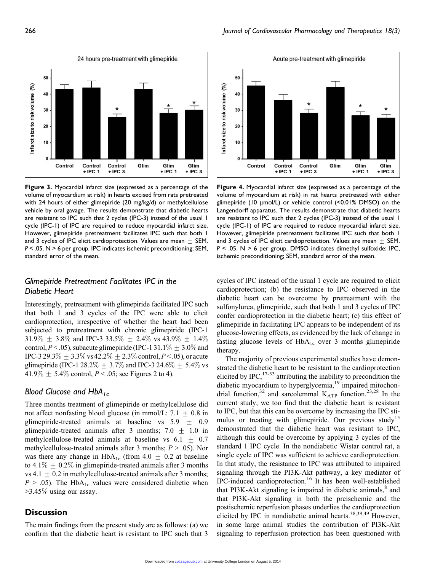

Figure 3. Myocardial infarct size (expressed as a percentage of the volume of myocardium at risk) in hearts excised from rats pretreated with 24 hours of either glimepiride (20 mg/kg/d) or methylcellulose vehicle by oral gavage. The results demonstrate that diabetic hearts are resistant to IPC such that 2 cycles (IPC-3) instead of the usual 1 cycle (IPC-1) of IPC are required to reduce myocardial infarct size. However, glimepiride pretreatment facilitates IPC such that both 1 and 3 cycles of IPC elicit cardioprotection. Values are mean  $+$  SEM. P < .05. N > 6 per group. IPC indicates ischemic preconditioning; SEM, standard error of the mean.

# Glimepiride Pretreatment Facilitates IPC in the Diabetic Heart

Interestingly, pretreatment with glimepiride facilitated IPC such that both 1 and 3 cycles of the IPC were able to elicit cardioprotection, irrespective of whether the heart had been subjected to pretreatment with chronic glimepiride (IPC-1 31.9%  $\pm$  3.8% and IPC-3 33.5%  $\pm$  2.4% vs 43.9%  $\pm$  1.4% control,  $P < .05$ ), subacute glimepiride (IPC-1 31.1\%  $\pm$  3.0\% and IPC-3 29.3%  $\pm$  3.3% vs 42.2%  $\pm$  2.3% control, P < .05), or acute glimepiride (IPC-1 28.2%  $\pm$  3.7% and IPC-3 24.6%  $\pm$  5.4% vs  $41.9\% + 5.4\%$  control,  $P < .05$ ; see Figures 2 to 4).

# Blood Glucose and  $HbA_{1c}$

Three months treatment of glimepiride or methylcellulose did not affect nonfasting blood glucose (in mmol/L: 7.1  $\pm$  0.8 in glimepiride-treated animals at baseline vs  $5.9 \pm 0.9$ glimepiride-treated animals after 3 months;  $7.0 \pm 1.0$  in methylcellulose-treated animals at baseline vs  $6.1 \pm 0.7$ methylcellulose-treated animals after 3 months;  $P > .05$ ). Nor was there any change in  $HbA_{1c}$  (from 4.0  $\pm$  0.2 at baseline to 4.1%  $\pm$  0.2% in glimepiride-treated animals after 3 months vs 4.1  $\pm$  0.2 in methylcellulose-treated animals after 3 months;  $P > .05$ ). The HbA<sub>1c</sub> values were considered diabetic when >3.45% using our assay.

## **Discussion**

The main findings from the present study are as follows: (a) we confirm that the diabetic heart is resistant to IPC such that 3



Figure 4. Myocardial infarct size (expressed as a percentage of the volume of myocardium at risk) in rat hearts pretreated with either glimepiride (10 µmol/L) or vehicle control (<0.01% DMSO) on the Langendorff apparatus. The results demonstrate that diabetic hearts are resistant to IPC such that 2 cycles (IPC-3) instead of the usual 1 cycle (IPC-1) of IPC are required to reduce myocardial infarct size. However, glimepiride pretreatment facilitates IPC such that both 1 and 3 cycles of IPC elicit cardioprotection. Values are mean  $+$  SEM. P < .05. N > 6 per group. DMSO indicates dimethyl sulfoxide; IPC, ischemic preconditioning; SEM, standard error of the mean.

cycles of IPC instead of the usual 1 cycle are required to elicit cardioprotection; (b) the resistance to IPC observed in the diabetic heart can be overcome by pretreatment with the sulfonylurea, glimepiride, such that both 1 and 3 cycles of IPC confer cardioprotection in the diabetic heart; (c) this effect of glimepiride in facilitating IPC appears to be independent of its glucose-lowering effects, as evidenced by the lack of change in fasting glucose levels of  $HbA_{1c}$  over 3 months glimepiride therapy.

The majority of previous experimental studies have demonstrated the diabetic heart to be resistant to the cardioprotection elicited by IPC,  $17-33$  attributing the inability to precondition the diabetic myocardium to hyperglycemia,<sup>19</sup> impaired mitochondrial function,<sup>32</sup> and sarcolemmal  $K_{ATP}$  function.<sup>23,28</sup> In the current study, we too find that the diabetic heart is resistant to IPC, but that this can be overcome by increasing the IPC stimulus or treating with glimepiride. Our previous study<sup>15</sup> demonstrated that the diabetic heart was resistant to IPC, although this could be overcome by applying 3 cycles of the standard 1 IPC cycle. In the nondiabetic Wistar control rat, a single cycle of IPC was sufficient to achieve cardioprotection. In that study, the resistance to IPC was attributed to impaired signaling through the PI3K-Akt pathway, a key mediator of IPC-induced cardioprotection.<sup>16</sup> It has been well-established that PI3K-Akt signaling is impaired in diabetic animals, $<sup>8</sup>$  and</sup> that PI3K-Akt signaling in both the preischemic and the postischemic reperfusion phases underlies the cardioprotection elicited by IPC in nondiabetic animal hearts.<sup>38,39,49</sup> However, in some large animal studies the contribution of PI3K-Akt signaling to reperfusion protection has been questioned with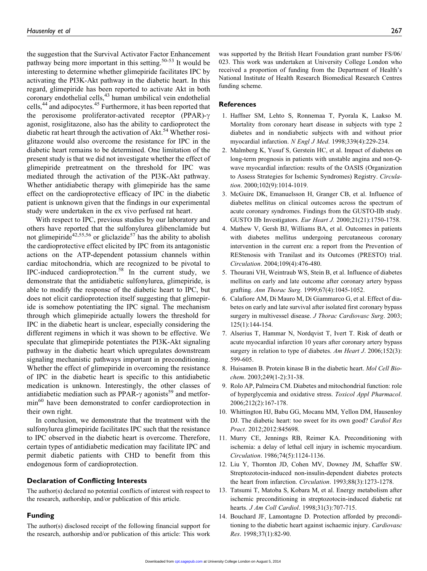the suggestion that the Survival Activator Factor Enhancement pathway being more important in this setting.<sup>50-53</sup> It would be interesting to determine whether glimepiride facilitates IPC by activating the PI3K-Akt pathway in the diabetic heart. In this regard, glimepiride has been reported to activate Akt in both coronary endothelial cells,<sup>43</sup> human umbilical vein endothelial cells,<sup>44</sup> and adipocytes.<sup>45</sup> Furthermore, it has been reported that the peroxisome proliferator-activated receptor (PPAR)- $\gamma$ agonist, rosiglitazone, also has the ability to cardioprotect the diabetic rat heart through the activation of Akt.<sup>54</sup> Whether rosiglitazone would also overcome the resistance for IPC in the diabetic heart remains to be determined. One limitation of the present study is that we did not investigate whether the effect of glimepiride pretreatment on the threshold for IPC was mediated through the activation of the PI3K-Akt pathway. Whether antidiabetic therapy with glimepiride has the same effect on the cardioprotective efficacy of IPC in the diabetic patient is unknown given that the findings in our experimental study were undertaken in the ex vivo perfused rat heart.

With respect to IPC, previous studies by our laboratory and others have reported that the sulfonylurea glibenclamide but not glimepiride<sup>42,55,56</sup> or gliclazide<sup>57</sup> has the ability to abolish the cardioprotective effect elicited by IPC from its antagonistic actions on the ATP-dependent potassium channels within cardiac mitochondria, which are recognized to be pivotal to IPC-induced cardioprotection.<sup>58</sup> In the current study, we demonstrate that the antidiabetic sulfonylurea, glimepiride, is able to modify the response of the diabetic heart to IPC, but does not elicit cardioprotection itself suggesting that glimepiride is somehow potentiating the IPC signal. The mechanism through which glimepiride actually lowers the threshold for IPC in the diabetic heart is unclear, especially considering the different regimens in which it was shown to be effective. We speculate that glimepiride potentiates the PI3K-Akt signaling pathway in the diabetic heart which upregulates downstream signaling mechanistic pathways important in preconditioning. Whether the effect of glimepiride in overcoming the resistance of IPC in the diabetic heart is specific to this antidiabetic medication is unknown. Interestingly, the other classes of antidiabetic mediation such as PPAR- $\gamma$  agonists<sup>59</sup> and metformin<sup>60</sup> have been demonstrated to confer cardioprotection in their own right.

In conclusion, we demonstrate that the treatment with the sulfonylurea glimepiride facilitates IPC such that the resistance to IPC observed in the diabetic heart is overcome. Therefore, certain types of antidiabetic medication may facilitate IPC and permit diabetic patients with CHD to benefit from this endogenous form of cardioprotection.

#### Declaration of Conflicting Interests

The author(s) declared no potential conflicts of interest with respect to the research, authorship, and/or publication of this article.

#### Funding

The author(s) disclosed receipt of the following financial support for the research, authorship and/or publication of this article: This work was supported by the British Heart Foundation grant number FS/06/ 023. This work was undertaken at University College London who received a proportion of funding from the Department of Health's National Institute of Health Research Biomedical Research Centres funding scheme.

#### References

- 1. Haffner SM, Lehto S, Ronnemaa T, Pyorala K, Laakso M. Mortality from coronary heart disease in subjects with type 2 diabetes and in nondiabetic subjects with and without prior myocardial infarction. N Engl J Med. 1998;339(4):229-234.
- 2. Malmberg K, Yusuf S, Gerstein HC, et al. Impact of diabetes on long-term prognosis in patients with unstable angina and non-Qwave myocardial infarction: results of the OASIS (Organization to Assess Strategies for Ischemic Syndromes) Registry. Circulation. 2000;102(9):1014-1019.
- 3. McGuire DK, Emanuelsson H, Granger CB, et al. Influence of diabetes mellitus on clinical outcomes across the spectrum of acute coronary syndromes. Findings from the GUSTO-IIb study. GUSTO IIb Investigators. Eur Heart J. 2000;21(21):1750-1758.
- 4. Mathew V, Gersh BJ, Williams BA, et al. Outcomes in patients with diabetes mellitus undergoing percutaneous coronary intervention in the current era: a report from the Prevention of REStenosis with Tranilast and its Outcomes (PRESTO) trial. Circulation. 2004;109(4):476-480.
- 5. Thourani VH, Weintraub WS, Stein B, et al. Influence of diabetes mellitus on early and late outcome after coronary artery bypass grafting. Ann Thorac Surg. 1999;67(4):1045-1052.
- 6. Calafiore AM, Di Mauro M, Di Giammarco G, et al. Effect of diabetes on early and late survival after isolated first coronary bypass surgery in multivessel disease. J Thorac Cardiovasc Surg. 2003; 125(1):144-154.
- 7. Alserius T, Hammar N, Nordqvist T, Ivert T. Risk of death or acute myocardial infarction 10 years after coronary artery bypass surgery in relation to type of diabetes. Am Heart J. 2006;152(3): 599-605.
- 8. Huisamen B. Protein kinase B in the diabetic heart. Mol Cell Biochem. 2003;249(1-2):31-38.
- 9. Rolo AP, Palmeira CM. Diabetes and mitochondrial function: role of hyperglycemia and oxidative stress. Toxicol Appl Pharmacol. 2006;212(2):167-178.
- 10. Whittington HJ, Babu GG, Mocanu MM, Yellon DM, Hausenloy DJ. The diabetic heart: too sweet for its own good? Cardiol Res Pract. 2012;2012:845698.
- 11. Murry CE, Jennings RB, Reimer KA. Preconditioning with ischemia: a delay of lethal cell injury in ischemic myocardium. Circulation. 1986;74(5):1124-1136.
- 12. Liu Y, Thornton JD, Cohen MV, Downey JM, Schaffer SW. Streptozotocin-induced non-insulin-dependent diabetes protects the heart from infarction. Circulation. 1993;88(3):1273-1278.
- 13. Tatsumi T, Matoba S, Kobara M, et al. Energy metabolism after ischemic preconditioning in streptozotocin-induced diabetic rat hearts. *J Am Coll Cardiol*. 1998;31(3):707-715.
- 14. Bouchard JF, Lamontagne D. Protection afforded by preconditioning to the diabetic heart against ischaemic injury. Cardiovasc Res. 1998;37(1):82-90.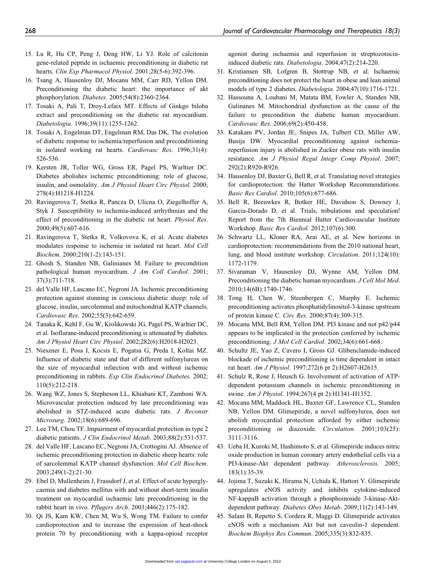- 15. Lu R, Hu CP, Peng J, Deng HW, Li YJ. Role of calcitonin gene-related peptide in ischaemic preconditioning in diabetic rat hearts. Clin Exp Pharmacol Physiol. 2001;28(5-6):392-396.
- 16. Tsang A, Hausenloy DJ, Mocanu MM, Carr RD, Yellon DM. Preconditioning the diabetic heart: the importance of akt phosphorylation. Diabetes. 2005;54(8):2360-2364.
- 17. Tosaki A, Pali T, Droy-Lefaix MT. Effects of Ginkgo biloba extract and preconditioning on the diabetic rat myocardium. Diabetologia. 1996;39(11):1255-1262.
- 18. Tosaki A, Engelman DT, Engelman RM, Das DK. The evolution of diabetic response to ischemia/reperfusion and preconditioning in isolated working rat hearts. Cardiovasc Res. 1996;31(4): 526-536.
- 19. Kersten JR, Toller WG, Gross ER, Pagel PS, Warltier DC. Diabetes abolishes ischemic preconditioning: role of glucose, insulin, and osmolality. Am J Physiol Heart Circ Physiol. 2000; 278(4):H1218-H1224.
- 20. Ravingerova T, Stetka R, Pancza D, Ulicna O, Ziegelhoffer A, Styk J. Susceptibility to ischemia-induced arrhythmias and the effect of preconditioning in the diabetic rat heart. Physiol Res. 2000;49(5):607-616.
- 21. Ravingerova T, Stetka R, Volkovova K, et al. Acute diabetes modulates response to ischemia in isolated rat heart. Mol Cell Biochem. 2000;210(1-2):143-151.
- 22. Ghosh S, Standen NB, Galinianes M. Failure to precondition pathological human myocardium. J Am Coll Cardiol. 2001; 37(3):711-718.
- 23. del Valle HF, Lascano EC, Negroni JA. Ischemic preconditioning protection against stunning in conscious diabetic sheep: role of glucose, insulin, sarcolemmal and mitochondrial KATP channels. Cardiovasc Res. 2002;55(3):642-659.
- 24. Tanaka K, Kehl F, Gu W, Krolikowski JG, Pagel PS, Warltier DC, et al. Isoflurane-induced preconditioning is attenuated by diabetes. Am J Physiol Heart Circ Physiol. 2002;282(6):H2018-H2023.
- 25. Nieszner E, Posa I, Kocsis E, Pogatsa G, Preda I, Koltai MZ. Influence of diabetic state and that of different sulfonylureas on the size of myocardial infarction with and without ischemic preconditioning in rabbits. Exp Clin Endocrinol Diabetes. 2002; 110(5):212-218.
- 26. Wang WZ, Jones S, Stepheson LL, Khiabani KT, Zamboni WA. Microvascular protection induced by late preconditioning was abolished in STZ-induced acute diabetic rats. J Reconstr Microsurg. 2002;18(6):689-696.
- 27. Lee TM, Chou TF. Impairment of myocardial protection in type 2 diabetic patients. J Clin Endocrinol Metab. 2003;88(2):531-537.
- 28. del Valle HF, Lascano EC, Negroni JA, Crottogini AJ. Absence of ischemic preconditioning protection in diabetic sheep hearts: role of sarcolemmal KATP channel dysfunction. Mol Cell Biochem. 2003;249(1-2):21-30.
- 29. Ebel D, Mullenheim J, Frassdorf J, et al. Effect of acute hyperglycaemia and diabetes mellitus with and without short-term insulin treatment on myocardial ischaemic late preconditioning in the rabbit heart in vivo. Pflugers Arch. 2003;446(2):175-182.
- 30. Qi JS, Kam KW, Chen M, Wu S, Wong TM. Failure to confer cardioprotection and to increase the expression of heat-shock protein 70 by preconditioning with a kappa-opioid receptor

agonist during ischaemia and reperfusion in streptozotocininduced diabetic rats. Diabetologia. 2004;47(2):214-220.

- 31. Kristiansen SB, Lofgren B, Stottrup NB, et al. Ischaemic preconditioning does not protect the heart in obese and lean animal models of type 2 diabetes. Diabetologia. 2004;47(10):1716-1721.
- 32. Hassouna A, Loubani M, Matata BM, Fowler A, Standen NB, Galinanes M. Mitochondrial dysfunction as the cause of the failure to precondition the diabetic human myocardium. Cardiovasc Res. 2006;69(2):450-458.
- 33. Katakam PV, Jordan JE, Snipes JA, Tulbert CD, Miller AW, Busija DW. Myocardial preconditioning against ischemiareperfusion injury is abolished in Zucker obese rats with insulin resistance. Am J Physiol Regul Integr Comp Physiol. 2007; 292(2):R920-R926.
- 34. Hausenloy DJ, Baxter G, Bell R, et al. Translating novel strategies for cardioprotection: the Hatter Workshop Recommendations. Basic Res Cardiol. 2010;105(6):677-686.
- 35. Bell R, Beeuwkes R, Botker HE, Davidson S, Downey J, Garcia-Dorado D, et al. Trials, tribulations and speculation! Report from the 7th Biennial Hatter Cardiovascular Institute Workshop. Basic Res Cardiol. 2012;107(6):300.
- 36. Schwartz LL, Kloner RA, Arai AE, et al. New horizons in cardioprotection: recommendations from the 2010 national heart, lung, and blood institute workshop. Circulation. 2011;124(10): 1172-1179.
- 37. Sivaraman V, Hausenloy DJ, Wynne AM, Yellon DM. Preconditioning the diabetic human myocardium. J Cell Mol Med. 2010;14(6B):1740-1746.
- 38. Tong H, Chen W, Steenbergen C, Murphy E. Ischemic preconditioning activates phosphatidylinositol-3-kinase upstream of protein kinase C. Circ Res. 2000;87(4):309-315.
- 39. Mocanu MM, Bell RM, Yellon DM. PI3 kinase and not p42/p44 appears to be implicated in the protection conferred by ischemic preconditioning. J Mol Cell Cardiol. 2002;34(6):661-668.
- 40. Schultz JE, Yao Z, Cavero I, Gross GJ. Glibenclamide-induced blockade of ischemic preconditioning is time dependent in intact rat heart. Am J Physiol. 1997;272(6 pt 2):H2607-H2615.
- 41. Schulz R, Rose J, Heusch G. Involvement of activation of ATPdependent potassium channels in ischemic preconditioning in swine. Am J Physiol. 1994;267(4 pt 2):H1341-H1352.
- 42. Mocanu MM, Maddock HL, Baxter GF, Lawrence CL, Standen NB, Yellon DM. Glimepiride, a novel sulfonylurea, does not abolish myocardial protection afforded by either ischemic preconditioning or diazoxide. Circulation. 2001;103(25): 3111-3116.
- 43. Ueba H, Kuroki M, Hashimoto S, et al. Glimepiride induces nitric oxide production in human coronary artery endothelial cells via a PI3-kinase-Akt dependent pathway. Atherosclerosis. 2005; 183(1):35-39.
- 44. Jojima T, Suzuki K, Hirama N, Uchida K, Hattori Y. Glimepiride upregulates eNOS activity and inhibits cytokine-induced NF-kappaB activation through a phosphoinoside 3-kinase-Aktdependent pathway. Diabetes Obes Metab. 2009;11(2):143-149.
- 45. Salani B, Repetto S, Cordera R, Maggi D. Glimepiride activates eNOS with a mechanism Akt but not caveolin-1 dependent. Biochem Biophys Res Commun. 2005;335(3):832-835.